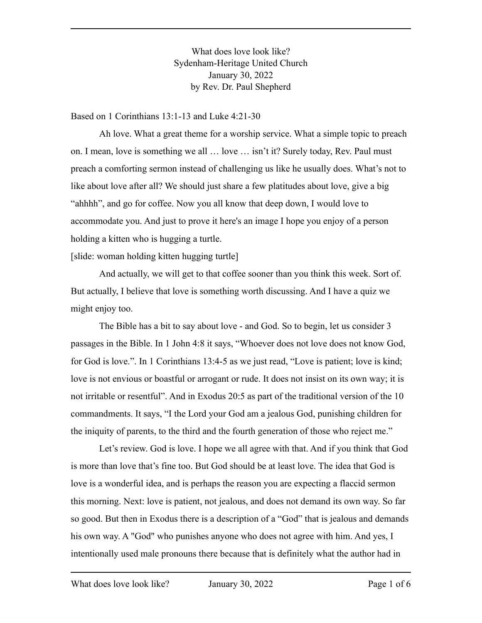What does love look like? Sydenham-Heritage United Church January 30, 2022 by Rev. Dr. Paul Shepherd

Based on 1 Corinthians 13:1-13 and Luke 4:21-30

Ah love. What a great theme for a worship service. What a simple topic to preach on. I mean, love is something we all … love … isn't it? Surely today, Rev. Paul must preach a comforting sermon instead of challenging us like he usually does. What's not to like about love after all? We should just share a few platitudes about love, give a big "ahhhh", and go for coffee. Now you all know that deep down, I would love to accommodate you. And just to prove it here's an image I hope you enjoy of a person holding a kitten who is hugging a turtle.

[slide: woman holding kitten hugging turtle]

And actually, we will get to that coffee sooner than you think this week. Sort of. But actually, I believe that love is something worth discussing. And I have a quiz we might enjoy too.

The Bible has a bit to say about love - and God. So to begin, let us consider 3 passages in the Bible. In 1 John 4:8 it says, "Whoever does not love does not know God, for God is love.". In 1 Corinthians 13:4-5 as we just read, "Love is patient; love is kind; love is not envious or boastful or arrogant or rude. It does not insist on its own way; it is not irritable or resentful". And in Exodus 20:5 as part of the traditional version of the 10 commandments. It says, "I the Lord your God am a jealous God, punishing children for the iniquity of parents, to the third and the fourth generation of those who reject me."

Let's review. God is love. I hope we all agree with that. And if you think that God is more than love that's fine too. But God should be at least love. The idea that God is love is a wonderful idea, and is perhaps the reason you are expecting a flaccid sermon this morning. Next: love is patient, not jealous, and does not demand its own way. So far so good. But then in Exodus there is a description of a "God" that is jealous and demands his own way. A "God" who punishes anyone who does not agree with him. And yes, I intentionally used male pronouns there because that is definitely what the author had in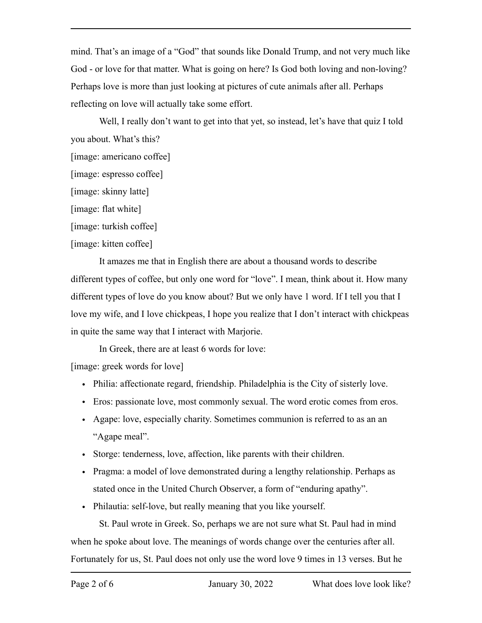mind. That's an image of a "God" that sounds like Donald Trump, and not very much like God - or love for that matter. What is going on here? Is God both loving and non-loving? Perhaps love is more than just looking at pictures of cute animals after all. Perhaps reflecting on love will actually take some effort.

Well, I really don't want to get into that yet, so instead, let's have that quiz I told you about. What's this?

- [image: americano coffee]
- [image: espresso coffee]

[image: skinny latte]

[image: flat white]

[image: turkish coffee]

## [image: kitten coffee]

It amazes me that in English there are about a thousand words to describe different types of coffee, but only one word for "love". I mean, think about it. How many different types of love do you know about? But we only have 1 word. If I tell you that I love my wife, and I love chickpeas, I hope you realize that I don't interact with chickpeas in quite the same way that I interact with Marjorie.

In Greek, there are at least 6 words for love:

[image: greek words for love]

- Philia: affectionate regard, friendship. Philadelphia is the City of sisterly love.
- Eros: passionate love, most commonly sexual. The word erotic comes from eros.
- Agape: love, especially charity. Sometimes communion is referred to as an an "Agape meal".
- Storge: tenderness, love, affection, like parents with their children.
- Pragma: a model of love demonstrated during a lengthy relationship. Perhaps as stated once in the United Church Observer, a form of "enduring apathy".
- Philautia: self-love, but really meaning that you like yourself.

St. Paul wrote in Greek. So, perhaps we are not sure what St. Paul had in mind when he spoke about love. The meanings of words change over the centuries after all. Fortunately for us, St. Paul does not only use the word love 9 times in 13 verses. But he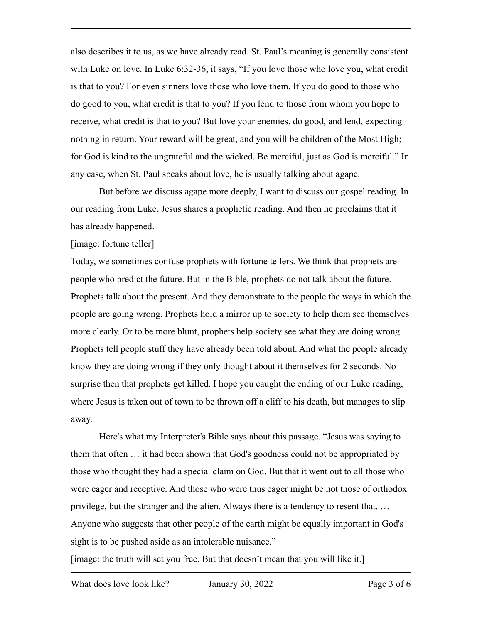also describes it to us, as we have already read. St. Paul's meaning is generally consistent with Luke on love. In Luke 6:32-36, it says, "If you love those who love you, what credit is that to you? For even sinners love those who love them. If you do good to those who do good to you, what credit is that to you? If you lend to those from whom you hope to receive, what credit is that to you? But love your enemies, do good, and lend, expecting nothing in return. Your reward will be great, and you will be children of the Most High; for God is kind to the ungrateful and the wicked. Be merciful, just as God is merciful." In any case, when St. Paul speaks about love, he is usually talking about agape.

But before we discuss agape more deeply, I want to discuss our gospel reading. In our reading from Luke, Jesus shares a prophetic reading. And then he proclaims that it has already happened.

[image: fortune teller]

Today, we sometimes confuse prophets with fortune tellers. We think that prophets are people who predict the future. But in the Bible, prophets do not talk about the future. Prophets talk about the present. And they demonstrate to the people the ways in which the people are going wrong. Prophets hold a mirror up to society to help them see themselves more clearly. Or to be more blunt, prophets help society see what they are doing wrong. Prophets tell people stuff they have already been told about. And what the people already know they are doing wrong if they only thought about it themselves for 2 seconds. No surprise then that prophets get killed. I hope you caught the ending of our Luke reading, where Jesus is taken out of town to be thrown off a cliff to his death, but manages to slip away.

Here's what my Interpreter's Bible says about this passage. "Jesus was saying to them that often … it had been shown that God's goodness could not be appropriated by those who thought they had a special claim on God. But that it went out to all those who were eager and receptive. And those who were thus eager might be not those of orthodox privilege, but the stranger and the alien. Always there is a tendency to resent that. … Anyone who suggests that other people of the earth might be equally important in God's sight is to be pushed aside as an intolerable nuisance."

[image: the truth will set you free. But that doesn't mean that you will like it.]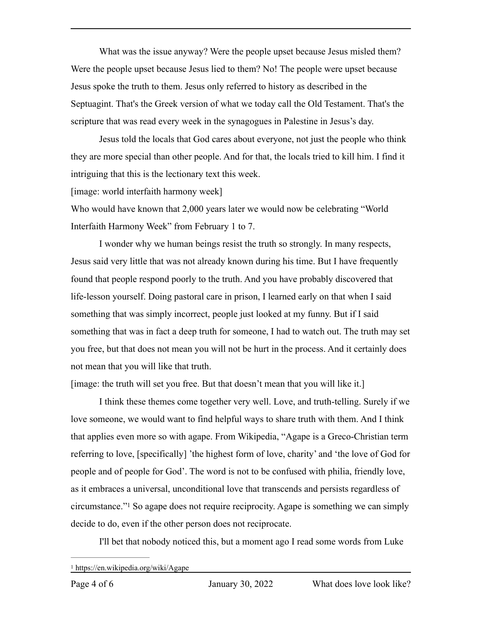What was the issue anyway? Were the people upset because Jesus misled them? Were the people upset because Jesus lied to them? No! The people were upset because Jesus spoke the truth to them. Jesus only referred to history as described in the Septuagint. That's the Greek version of what we today call the Old Testament. That's the scripture that was read every week in the synagogues in Palestine in Jesus's day.

Jesus told the locals that God cares about everyone, not just the people who think they are more special than other people. And for that, the locals tried to kill him. I find it intriguing that this is the lectionary text this week.

[image: world interfaith harmony week]

Who would have known that 2,000 years later we would now be celebrating "World Interfaith Harmony Week" from February 1 to 7.

I wonder why we human beings resist the truth so strongly. In many respects, Jesus said very little that was not already known during his time. But I have frequently found that people respond poorly to the truth. And you have probably discovered that life-lesson yourself. Doing pastoral care in prison, I learned early on that when I said something that was simply incorrect, people just looked at my funny. But if I said something that was in fact a deep truth for someone, I had to watch out. The truth may set you free, but that does not mean you will not be hurt in the process. And it certainly does not mean that you will like that truth.

[image: the truth will set you free. But that doesn't mean that you will like it.]

I think these themes come together very well. Love, and truth-telling. Surely if we love someone, we would want to find helpful ways to share truth with them. And I think that applies even more so with agape. From Wikipedia, "Agape is a Greco-Christian term referring to love, [specifically] 'the highest form of love, charity' and 'the love of God for people and of people for God'. The word is not to be confused with philia, friendly love, as it embraces a universal, unconditional love that transcends and persists regardless of circumstance."<sup>1</sup>So agape does not require reciprocity. Agape is something we can simply decide to do, even if the other person does not reciprocate.

<span id="page-3-1"></span>I'll bet that nobody noticed this, but a moment ago I read some words from Luke

<span id="page-3-0"></span>[<sup>1</sup>](#page-3-1) https://en.wikipedia.org/wiki/Agape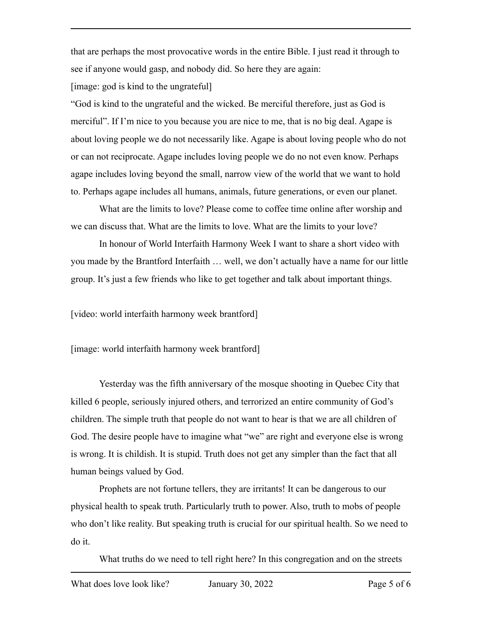that are perhaps the most provocative words in the entire Bible. I just read it through to see if anyone would gasp, and nobody did. So here they are again:

[image: god is kind to the ungrateful]

"God is kind to the ungrateful and the wicked. Be merciful therefore, just as God is merciful". If I'm nice to you because you are nice to me, that is no big deal. Agape is about loving people we do not necessarily like. Agape is about loving people who do not or can not reciprocate. Agape includes loving people we do no not even know. Perhaps agape includes loving beyond the small, narrow view of the world that we want to hold to. Perhaps agape includes all humans, animals, future generations, or even our planet.

What are the limits to love? Please come to coffee time online after worship and we can discuss that. What are the limits to love. What are the limits to your love?

In honour of World Interfaith Harmony Week I want to share a short video with you made by the Brantford Interfaith … well, we don't actually have a name for our little group. It's just a few friends who like to get together and talk about important things.

[video: world interfaith harmony week brantford]

[image: world interfaith harmony week brantford]

Yesterday was the fifth anniversary of the mosque shooting in Quebec City that killed 6 people, seriously injured others, and terrorized an entire community of God's children. The simple truth that people do not want to hear is that we are all children of God. The desire people have to imagine what "we" are right and everyone else is wrong is wrong. It is childish. It is stupid. Truth does not get any simpler than the fact that all human beings valued by God.

Prophets are not fortune tellers, they are irritants! It can be dangerous to our physical health to speak truth. Particularly truth to power. Also, truth to mobs of people who don't like reality. But speaking truth is crucial for our spiritual health. So we need to do it.

What truths do we need to tell right here? In this congregation and on the streets